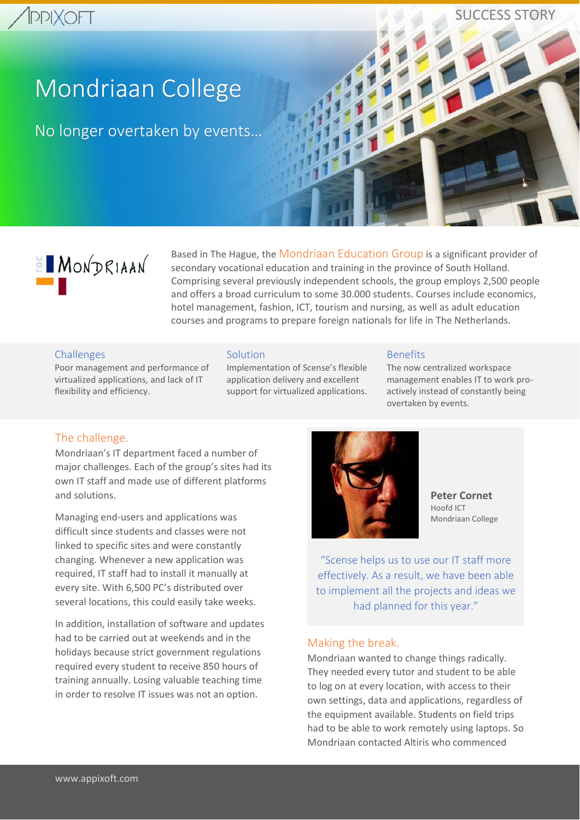# **IPPIXOFT**

SUCCESS STORY

# Mondriaan College

No longer overtaken by events…



Based in The Hague, the Mondriaan Education Group is a significant provider of secondary vocational education and training in the province of South Holland. Comprising several previously independent schools, the group employs 2,500 people and offers a broad curriculum to some 30.000 students. Courses include economics, hotel management, fashion, ICT, tourism and nursing, as well as adult education courses and programs to prepare foreign nationals for life in The Netherlands.

#### **Challenges**

Poor management and performance of virtualized applications, and lack of IT flexibility and efficiency.

#### **Solution**

Implementation of Scense's flexible application delivery and excellent support for virtualized applications.

#### Benefits

The now centralized workspace management enables IT to work proactively instead of constantly being overtaken by events.

# The challenge.

Mondriaan's IT department faced a number of major challenges. Each of the group's sites had its own IT staff and made use of different platforms and solutions.

Managing end-users and applications was difficult since students and classes were not linked to specific sites and were constantly changing. Whenever a new application was required, IT staff had to install it manually at every site. With 6,500 PC's distributed over several locations, this could easily take weeks.

In addition, installation of software and updates had to be carried out at weekends and in the holidays because strict government regulations required every student to receive 850 hours of training annually. Losing valuable teaching time in order to resolve IT issues was not an option.



**Peter Cornet** Hoofd ICT Mondriaan College

"Scense helps us to use our IT staff more effectively. As a result, we have been able to implement all the projects and ideas we had planned for this year."

#### Making the break.

Mondriaan wanted to change things radically. They needed every tutor and student to be able to log on at every location, with access to their own settings, data and applications, regardless of the equipment available. Students on field trips had to be able to work remotely using laptops. So Mondriaan contacted Altiris who commenced